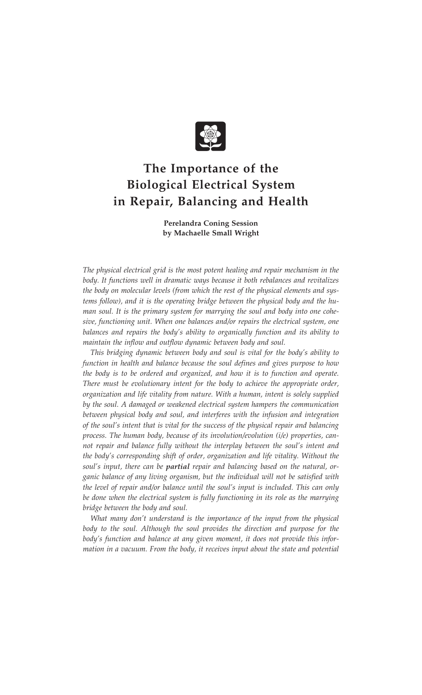

## **The Importance of the Biological Electrical System in Repair, Balancing and Health**

**Perelandra Coning Session by Machaelle Small Wright**

*The physical electrical grid is the most potent healing and repair mechanism in the body. It functions well in dramatic ways because it both rebalances and revitalizes the body on molecular levels (from which the rest of the physical elements and systems follow), and it is the operating bridge between the physical body and the human soul. It is the primary system for marrying the soul and body into one cohesive, functioning unit. When one balances and/or repairs the electrical system, one balances and repairs the body's ability to organically function and its ability to maintain the inflow and outflow dynamic between body and soul.*

*This bridging dynamic between body and soul is vital for the body's ability to function in health and balance because the soul defines and gives purpose to how the body is to be ordered and organized, and how it is to function and operate. There must be evolutionary intent for the body to achieve the appropriate order, organization and life vitality from nature. With a human, intent is solely supplied by the soul. A damaged or weakened electrical system hampers the communication between physical body and soul, and interferes with the infusion and integration of the soul's intent that is vital for the success of the physical repair and balancing process. The human body, because of its involution/evolution (i/e) properties, cannot repair and balance fully without the interplay between the soul's intent and the body's corresponding shift of order, organization and life vitality. Without the soul's input, there can be partial repair and balancing based on the natural, organic balance of any living organism, but the individual will not be satisfied with the level of repair and/or balance until the soul's input is included. This can only be done when the electrical system is fully functioning in its role as the marrying bridge between the body and soul.*

*What many don't understand is the importance of the input from the physical body to the soul. Although the soul provides the direction and purpose for the body's function and balance at any given moment, it does not provide this information in a vacuum. From the body, it receives input about the state and potential*